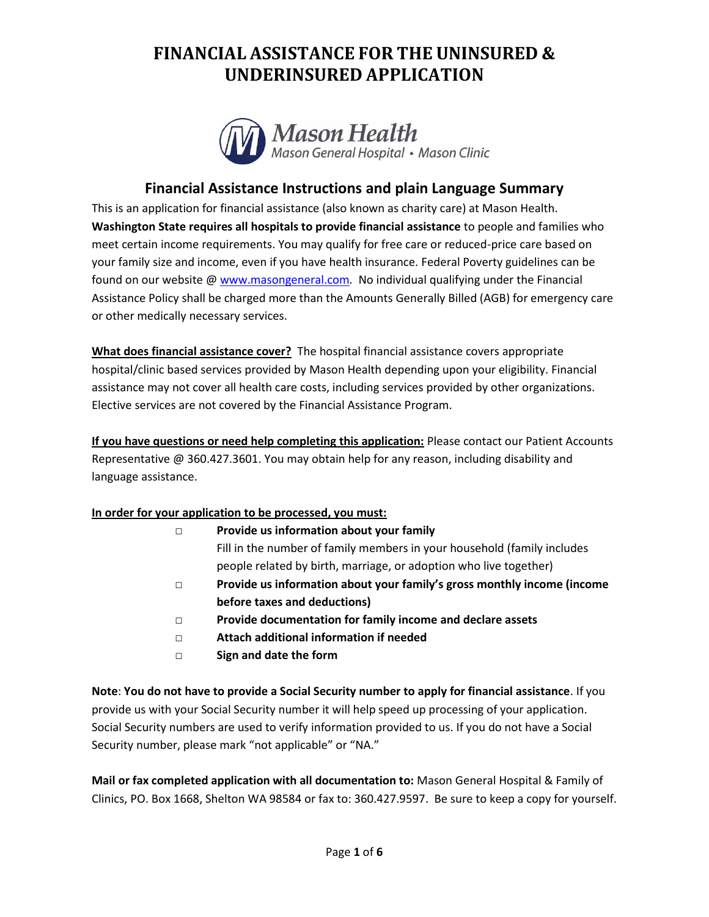

### **Financial Assistance Instructions and plain Language Summary**

This is an application for financial assistance (also known as charity care) at Mason Health. **Washington State requires all hospitals to provide financial assistance** to people and families who meet certain income requirements. You may qualify for free care or reduced-price care based on your family size and income, even if you have health insurance. Federal Poverty guidelines can be found on our website @ [www.masongeneral.com](http://www.masongeneral.com/)*.* No individual qualifying under the Financial Assistance Policy shall be charged more than the Amounts Generally Billed (AGB) for emergency care or other medically necessary services.

**What does financial assistance cover?** The hospital financial assistance covers appropriate hospital/clinic based services provided by Mason Health depending upon your eligibility. Financial assistance may not cover all health care costs, including services provided by other organizations. Elective services are not covered by the Financial Assistance Program.

**If you have questions or need help completing this application:** Please contact our Patient Accounts Representative @ 360.427.3601. You may obtain help for any reason, including disability and language assistance.

#### **In order for your application to be processed, you must:**

|   | Provide us information about your family                                |
|---|-------------------------------------------------------------------------|
|   | Fill in the number of family members in your household (family includes |
|   | people related by birth, marriage, or adoption who live together)       |
| П | Provide us information about your family's gross monthly income (income |
|   | before taxes and deductions)                                            |
|   | Duaidh a daoineachta tan fan familic inas an an dalachan an ata         |

- **□ Provide documentation for family income and declare assets**
- **□ Attach additional information if needed**
- **□ Sign and date the form**

**Note**: **You do not have to provide a Social Security number to apply for financial assistance**. If you provide us with your Social Security number it will help speed up processing of your application. Social Security numbers are used to verify information provided to us. If you do not have a Social Security number, please mark "not applicable" or "NA."

**Mail or fax completed application with all documentation to:** Mason General Hospital & Family of Clinics, PO. Box 1668, Shelton WA 98584 or fax to: 360.427.9597. Be sure to keep a copy for yourself.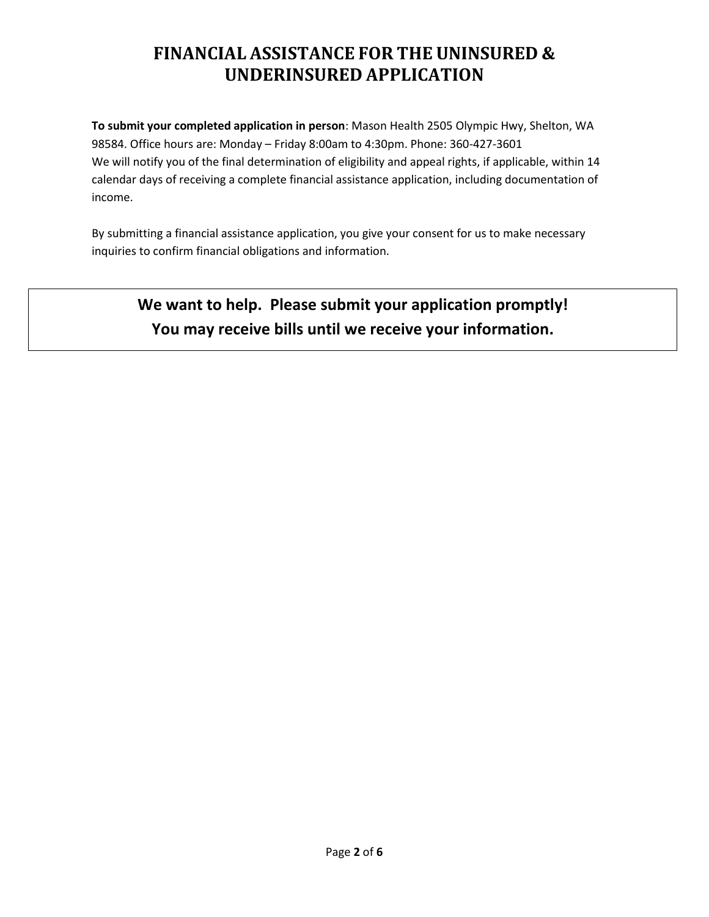**To submit your completed application in person**: Mason Health 2505 Olympic Hwy, Shelton, WA 98584. Office hours are: Monday – Friday 8:00am to 4:30pm. Phone: 360-427-3601 We will notify you of the final determination of eligibility and appeal rights, if applicable, within 14 calendar days of receiving a complete financial assistance application, including documentation of income.

By submitting a financial assistance application, you give your consent for us to make necessary inquiries to confirm financial obligations and information.

# **We want to help. Please submit your application promptly! You may receive bills until we receive your information.**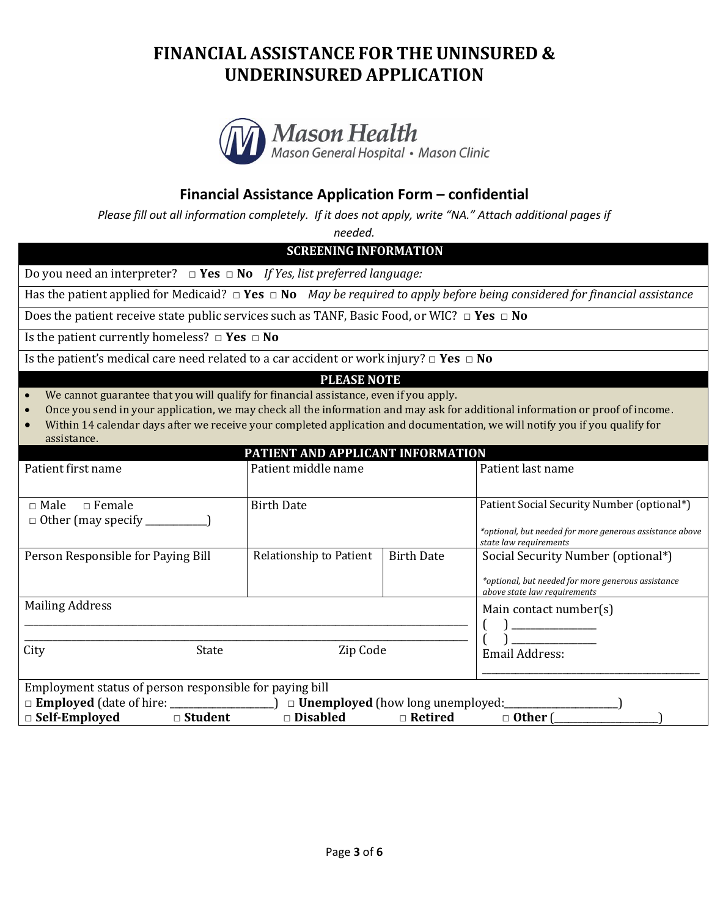

### **Financial Assistance Application Form – confidential**

*Please fill out all information completely. If it does not apply, write "NA." Attach additional pages if* 

*needed.*

**SCREENING INFORMATION**

Do you need an interpreter? **□ Yes □ No** *If Yes, list preferred language:*

Has the patient applied for Medicaid? **□ Yes □ No** *May be required to apply before being considered for financial assistance*

Does the patient receive state public services such as TANF, Basic Food, or WIC? **□ Yes □ No**

Is the patient currently homeless? **□ Yes □ No**

Is the patient's medical care need related to a car accident or work injury? **□ Yes □ No**

#### **PLEASE NOTE**

- We cannot guarantee that you will qualify for financial assistance, even if you apply.
- Once you send in your application, we may check all the information and may ask for additional information or proof of income.
- Within 14 calendar days after we receive your completed application and documentation, we will notify you if you qualify for assistance.

| PATIENT AND APPLICANT INFORMATION                       |                         |                   |                                                                                    |  |  |  |  |
|---------------------------------------------------------|-------------------------|-------------------|------------------------------------------------------------------------------------|--|--|--|--|
| Patient first name                                      | Patient middle name     |                   | Patient last name                                                                  |  |  |  |  |
|                                                         |                         |                   |                                                                                    |  |  |  |  |
| $\Box$ Female<br>$\Box$ Male                            | <b>Birth Date</b>       |                   | Patient Social Security Number (optional*)                                         |  |  |  |  |
|                                                         |                         |                   |                                                                                    |  |  |  |  |
|                                                         |                         |                   | *optional, but needed for more generous assistance above<br>state law requirements |  |  |  |  |
| Person Responsible for Paying Bill                      | Relationship to Patient | <b>Birth Date</b> | Social Security Number (optional*)                                                 |  |  |  |  |
|                                                         |                         |                   |                                                                                    |  |  |  |  |
|                                                         |                         |                   | *optional, but needed for more generous assistance<br>above state law requirements |  |  |  |  |
| <b>Mailing Address</b>                                  |                         |                   | Main contact number(s)                                                             |  |  |  |  |
|                                                         |                         |                   |                                                                                    |  |  |  |  |
|                                                         |                         |                   |                                                                                    |  |  |  |  |
| City<br>State                                           | Zip Code                |                   | Email Address:                                                                     |  |  |  |  |
|                                                         |                         |                   |                                                                                    |  |  |  |  |
| Employment status of person responsible for paying bill |                         |                   |                                                                                    |  |  |  |  |
|                                                         |                         |                   |                                                                                    |  |  |  |  |
| $\Box$ Self-Employed<br>$\square$ Student               | $\Box$ Disabled         | $\Box$ Retired    | $\Box$ Other (                                                                     |  |  |  |  |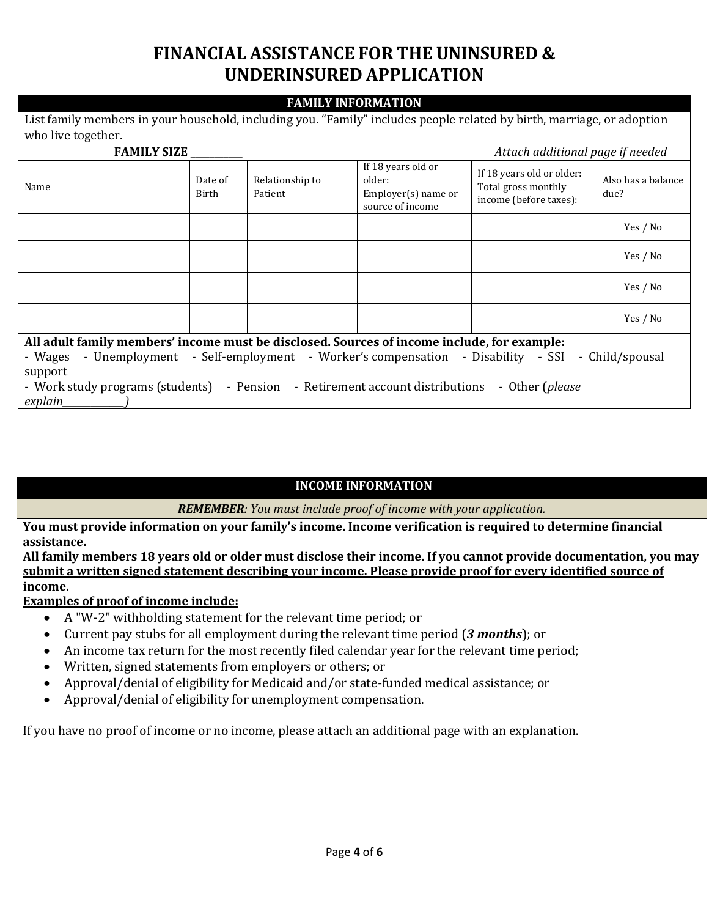#### **FAMILY INFORMATION**

| List family members in your household, including you. "Family" includes people related by birth, marriage, or adoption |                  |                            |                                                                           |                                                                            |                            |  |  |
|------------------------------------------------------------------------------------------------------------------------|------------------|----------------------------|---------------------------------------------------------------------------|----------------------------------------------------------------------------|----------------------------|--|--|
| who live together.                                                                                                     |                  |                            |                                                                           |                                                                            |                            |  |  |
| <b>FAMILY SIZE</b><br>Attach additional page if needed                                                                 |                  |                            |                                                                           |                                                                            |                            |  |  |
| Name                                                                                                                   | Date of<br>Birth | Relationship to<br>Patient | If 18 years old or<br>older:<br>$Emplayer(s)$ name or<br>source of income | If 18 years old or older:<br>Total gross monthly<br>income (before taxes): | Also has a balance<br>due? |  |  |
|                                                                                                                        |                  |                            |                                                                           |                                                                            | Yes / No                   |  |  |
|                                                                                                                        |                  |                            |                                                                           |                                                                            | Yes / No                   |  |  |
|                                                                                                                        |                  |                            |                                                                           |                                                                            | Yes / No                   |  |  |
|                                                                                                                        |                  |                            |                                                                           |                                                                            | Yes / No                   |  |  |
| All adult family members' income must be disclosed. Sources of income include, for example:                            |                  |                            |                                                                           |                                                                            |                            |  |  |
| - Wages - Unemployment - Self-employment - Worker's compensation - Disability - SSI - Child/spousal                    |                  |                            |                                                                           |                                                                            |                            |  |  |
| support                                                                                                                |                  |                            |                                                                           |                                                                            |                            |  |  |
| - Work study programs (students) - Pension - Retirement account distributions - Other (please                          |                  |                            |                                                                           |                                                                            |                            |  |  |
| explain_                                                                                                               |                  |                            |                                                                           |                                                                            |                            |  |  |

#### **INCOME INFORMATION**

*REMEMBER: You must include proof of income with your application.*

**You must provide information on your family's income. Income verification is required to determine financial assistance.**

**All family members 18 years old or older must disclose their income. If you cannot provide documentation, you may submit a written signed statement describing your income. Please provide proof for every identified source of income.** 

**Examples of proof of income include:**

- A "W-2" withholding statement for the relevant time period; or
- Current pay stubs for all employment during the relevant time period (*3 months*); or
- An income tax return for the most recently filed calendar year for the relevant time period;
- Written, signed statements from employers or others; or
- Approval/denial of eligibility for Medicaid and/or state-funded medical assistance; or
- Approval/denial of eligibility for unemployment compensation.

If you have no proof of income or no income, please attach an additional page with an explanation.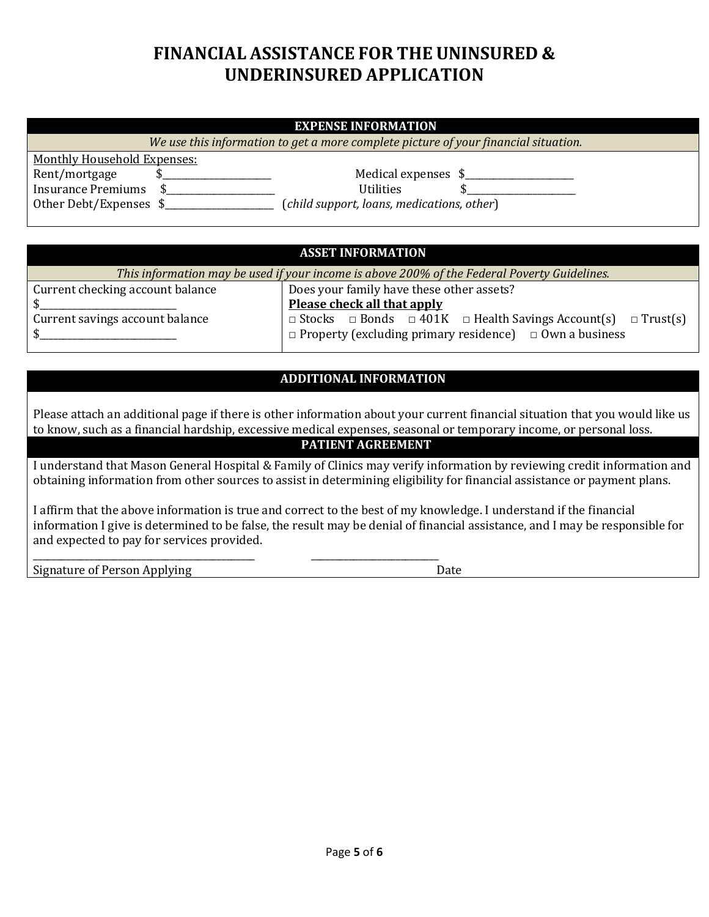#### **EXPENSE INFORMATION**

*We use this information to get a more complete picture of your financial situation.*

Monthly Household Expenses: Rent/mortgage \$\_\_\_\_\_\_\_\_\_\_\_\_\_\_\_\_\_\_\_\_\_\_\_\_\_\_ Medical expenses \$\_\_\_\_\_\_\_\_\_\_\_\_\_\_\_\_\_\_\_\_ Insurance Premiums \$\_\_\_\_\_\_\_\_\_\_\_\_\_\_\_\_\_\_\_\_\_\_\_ Utilities \$\_\_\_\_\_\_\_\_\_\_\_\_\_\_\_\_\_\_\_\_\_\_\_

Other Debt/Expenses \$\_\_\_\_\_\_\_\_\_\_\_\_\_\_\_\_\_\_\_\_\_\_\_ (*child support, loans, medications, other*)

#### **ASSET INFORMATION**

*This information may be used if your income is above 200% of the Federal Poverty Guidelines.*

| Current checking account balance | Does your family have these other assets?                                               |  |  |  |
|----------------------------------|-----------------------------------------------------------------------------------------|--|--|--|
|                                  | Please check all that apply                                                             |  |  |  |
| Current savings account balance  | $\Box$ Stocks $\Box$ Bonds $\Box$ 401K $\Box$ Health Savings Account(s) $\Box$ Trust(s) |  |  |  |
|                                  | $\Box$ Property (excluding primary residence) $\Box$ Own a business                     |  |  |  |

### **ADDITIONAL INFORMATION**

Please attach an additional page if there is other information about your current financial situation that you would like us to know, such as a financial hardship, excessive medical expenses, seasonal or temporary income, or personal loss.

### **PATIENT AGREEMENT**

I understand that Mason General Hospital & Family of Clinics may verify information by reviewing credit information and obtaining information from other sources to assist in determining eligibility for financial assistance or payment plans.

I affirm that the above information is true and correct to the best of my knowledge. I understand if the financial information I give is determined to be false, the result may be denial of financial assistance, and I may be responsible for and expected to pay for services provided.

Signature of Person Applying The Contract of Date Date

\_\_\_\_\_\_\_\_\_\_\_\_\_\_\_\_\_\_\_\_\_\_\_\_\_\_\_\_\_\_\_\_\_\_\_\_\_\_\_\_\_\_\_\_\_\_\_ \_\_\_\_\_\_\_\_\_\_\_\_\_\_\_\_\_\_\_\_\_\_\_\_\_\_\_